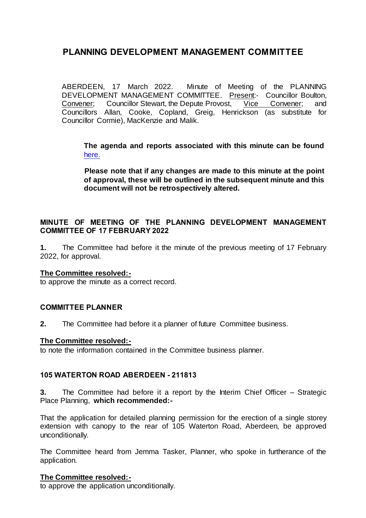ABERDEEN, 17 March 2022. Minute of Meeting of the PLANNING DEVELOPMENT MANAGEMENT COMMITTEE. Present:- Councillor Boulton,<br>Convener: Councillor Stewart, the Depute Provost, Vice Convener; and Convener; Councillor Stewart, the Depute Provost, Vice Convener; and Councillors Allan, Cooke, Copland, Greig, Henrickson (as substitute for Councillor Cormie), MacKenzie and Malik.

**The agenda and reports associated with this minute can be found**  [here.](https://committees.aberdeencity.gov.uk/ieListDocuments.aspx?CId=348&MId=7980&Ver=4) 

**Please note that if any changes are made to this minute at the point of approval, these will be outlined in the subsequent minute and this document will not be retrospectively altered.**

## **MINUTE OF MEETING OF THE PLANNING DEVELOPMENT MANAGEMENT COMMITTEE OF 17 FEBRUARY 2022**

**1.** The Committee had before it the minute of the previous meeting of 17 February 2022, for approval.

#### **The Committee resolved:-**

to approve the minute as a correct record.

## **COMMITTEE PLANNER**

**2.** The Committee had before it a planner of future Committee business.

#### **The Committee resolved:-**

to note the information contained in the Committee business planner.

## **105 WATERTON ROAD ABERDEEN - 211813**

**3.** The Committee had before it a report by the Interim Chief Officer – Strategic Place Planning, **which recommended:-**

That the application for detailed planning permission for the erection of a single storey extension with canopy to the rear of 105 Waterton Road, Aberdeen, be approved unconditionally.

The Committee heard from Jemma Tasker, Planner, who spoke in furtherance of the application.

#### **The Committee resolved:-**

to approve the application unconditionally.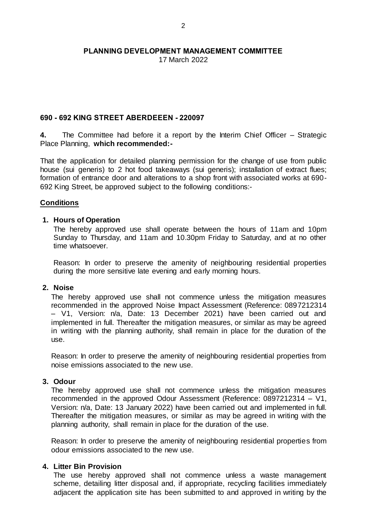17 March 2022

## **690 - 692 KING STREET ABERDEEEN - 220097**

**4.** The Committee had before it a report by the Interim Chief Officer – Strategic Place Planning, **which recommended:-**

That the application for detailed planning permission for the change of use from public house (sui generis) to 2 hot food takeaways (sui generis); installation of extract flues; formation of entrance door and alterations to a shop front with associated works at 690- 692 King Street, be approved subject to the following conditions:-

## **Conditions**

## **1. Hours of Operation**

The hereby approved use shall operate between the hours of 11am and 10pm Sunday to Thursday, and 11am and 10.30pm Friday to Saturday, and at no other time whatsoever.

Reason: In order to preserve the amenity of neighbouring residential properties during the more sensitive late evening and early morning hours.

## **2. Noise**

The hereby approved use shall not commence unless the mitigation measures recommended in the approved Noise Impact Assessment (Reference: 0897212314 – V1, Version: n/a, Date: 13 December 2021) have been carried out and implemented in full. Thereafter the mitigation measures, or similar as may be agreed in writing with the planning authority, shall remain in place for the duration of the use.

Reason: In order to preserve the amenity of neighbouring residential properties from noise emissions associated to the new use.

## **3. Odour**

The hereby approved use shall not commence unless the mitigation measures recommended in the approved Odour Assessment (Reference: 0897212314 – V1, Version: n/a, Date: 13 January 2022) have been carried out and implemented in full. Thereafter the mitigation measures, or similar as may be agreed in writing with the planning authority, shall remain in place for the duration of the use.

Reason: In order to preserve the amenity of neighbouring residential properties from odour emissions associated to the new use.

## **4. Litter Bin Provision**

The use hereby approved shall not commence unless a waste management scheme, detailing litter disposal and, if appropriate, recycling facilities immediately adjacent the application site has been submitted to and approved in writing by the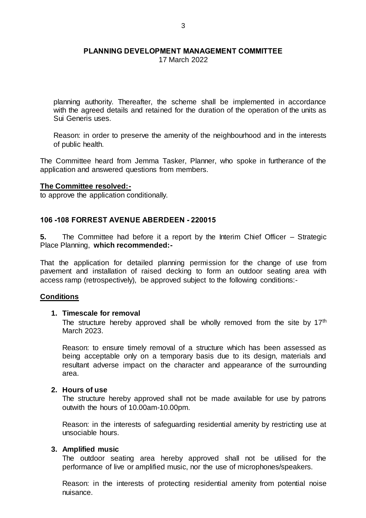17 March 2022

planning authority. Thereafter, the scheme shall be implemented in accordance with the agreed details and retained for the duration of the operation of the units as Sui Generis uses.

Reason: in order to preserve the amenity of the neighbourhood and in the interests of public health.

The Committee heard from Jemma Tasker, Planner, who spoke in furtherance of the application and answered questions from members.

#### **The Committee resolved:-**

to approve the application conditionally.

## **106 -108 FORREST AVENUE ABERDEEN - 220015**

**5.** The Committee had before it a report by the Interim Chief Officer – Strategic Place Planning, **which recommended:-**

That the application for detailed planning permission for the change of use from pavement and installation of raised decking to form an outdoor seating area with access ramp (retrospectively), be approved subject to the following conditions:-

#### **Conditions**

#### **1. Timescale for removal**

The structure hereby approved shall be wholly removed from the site by  $17<sup>th</sup>$ March 2023.

Reason: to ensure timely removal of a structure which has been assessed as being acceptable only on a temporary basis due to its design, materials and resultant adverse impact on the character and appearance of the surrounding area.

#### **2. Hours of use**

The structure hereby approved shall not be made available for use by patrons outwith the hours of 10.00am-10.00pm.

Reason: in the interests of safeguarding residential amenity by restricting use at unsociable hours.

## **3. Amplified music**

The outdoor seating area hereby approved shall not be utilised for the performance of live or amplified music, nor the use of microphones/speakers.

Reason: in the interests of protecting residential amenity from potential noise nuisance.